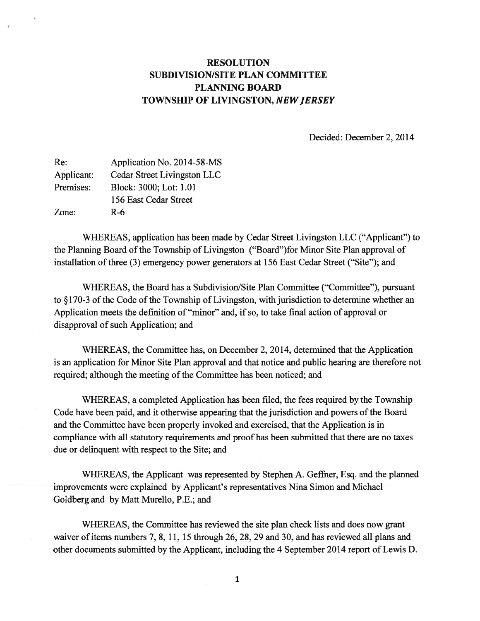# RESOLUTION SUBDIVISION/SITE PLAN COMMITTEE PLANNING BOARD TOWNSHIP OF LIVINGSTON, NEWJERSEY

Decided: December 2, 2014

| Re:        | Application No. 2014-58-MS  |
|------------|-----------------------------|
| Applicant: | Cedar Street Livingston LLC |
| Premises:  | Block: 3000; Lot: 1.01      |
|            | 156 East Cedar Street       |
| Zone:      | R-6                         |

WHEREAS, application has been made by Cedar Street Livingston LLC ("Applicant") to the Planning Board of the Township of Livingston ("Board")for Minor Site Plan approval of installation of three (3) emergency power generators at 156 East Cedar Street ("Site"); and

WHEREAS, the Board has a Subdivision/Site Plan Committee ("Committee"), pursuant to §170-3 of the Code of the Township of Livingston, with jurisdiction to determine whether an Application meets the definition of "minor" and, if so, to take final action of approval or disapproval of such Application; and

WHEREAS, the Committee has, on December 2, 2014, determined that the Application is an application for Minor Site Plan approval and that notice and public hearing are therefore not required; although the meeting of the Committee has been noticed; and

WHEREAS, <sup>a</sup> completed Application has been filed, the fees required by the Township Code have been paid, and it otherwise appearing that the jurisdiction and powers of the Board and the Committee have been properly invoked and exercised, that the Application is in compliance with all statutory requirements and proof has been submitted that there are no taxes due or delinquent with respec<sup>t</sup> to the Site; and

WHEREAS, the Applicant was represented by Stephen A. Geffner, Esq. and the planned improvements were explained by Applicant's representatives Nina Simon and Michael Goldberg and by Matt Murello, P.E.; and

WHEREAS, the Committee has reviewed the site plan check lists and does now gran<sup>t</sup> waiver of items numbers 7, 8, 11, 15 through  $26$ ,  $28$ ,  $29$  and  $30$ , and has reviewed all plans and other documents submitted by the Applicant, including the 4 September 2014 repor<sup>t</sup> of Lewis D.

1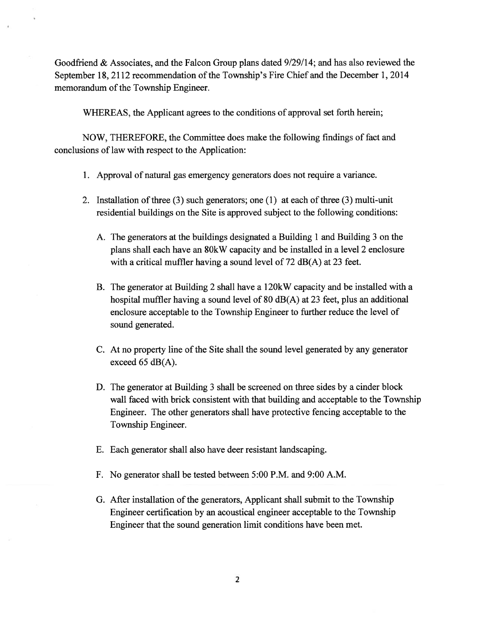Goodfriend & Associates, and the Falcon Group plans dated 9/29/14; and has also reviewed the September 18, 2112 recommendation of the Township's Fire Chief and the December 1, 2014 memorandum of the Township Engineer.

WHEREAS, the Applicant agrees to the conditions of approval set forth herein;

NOW, THEREFORE, the Committee does make the following findings of fact and conclusions of law with respec<sup>t</sup> to the Application:

- 1. Approval of natural gas emergency generators does not require <sup>a</sup> variance.
- 2. Installation of three  $(3)$  such generators; one  $(1)$  at each of three  $(3)$  multi-unit residential buildings on the Site is approved subject to the following conditions:
	- A. The generators at the buildings designated <sup>a</sup> Building 1 and Building 3 on the plans shall each have an 80kW capacity and be installed in <sup>a</sup> level 2 enclosure with a critical muffler having a sound level of 72 dB(A) at 23 feet.
	- B. The generator at Building 2 shall have <sup>a</sup> 120kW capacity and be installed with <sup>a</sup> hospital muffler having <sup>a</sup> sound level of 80 dB(A) at 23 feet, plus an additional enclosure acceptable to the Township Engineer to further reduce the level of sound generated.
	- C. At no property line of the Site shall the sound level generated by any generator exceed 65  $dB(A)$ .
	- D. The generator at Building 3 shall be screened on three sides by <sup>a</sup> cinder block wall faced with brick consistent with that building and acceptable to the Township Engineer. The other generators shall have protective fencing acceptable to the Township Engineer.
	- E. Each generator shall also have deer resistant landscaping.
	- F. No generator shall be tested between 5:00 P.M. and 9:00 A.M.
	- G. After installation of the generators, Applicant shall submit to the Township Engineer certification by an acoustical engineer acceptable to the Township Engineer that the sound generation limit conditions have been met.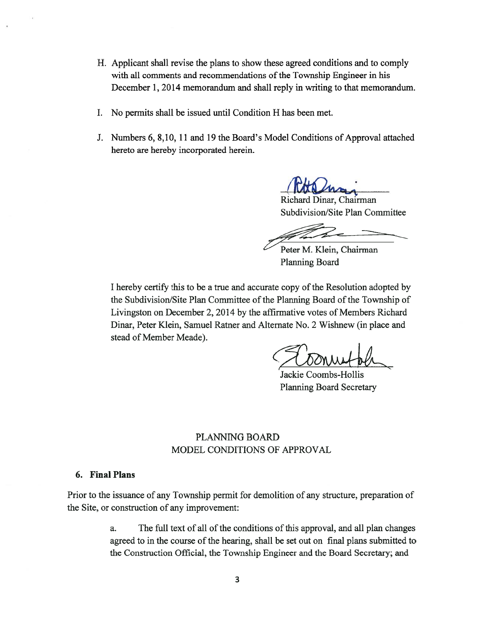- H. Applicant shall revise the plans to show these agreed conditions and to comply with all comments and recommendations of the Township Engineer in his December 1, 2014 memorandum and shall reply in writing to that memorandum.
- I. No permits shall be issued until Condition H has been met.
- J. Numbers 6, 8,10, 11 and 19 the Board's Model Conditions of Approval attached hereto are hereby incorporated herein.

Robert

Richard Dinar, Chairman Subdivision/Site Plan Committee

Peter M. Klein, Chairman Planning Board

I hereby certify this to be a true and accurate copy of the Resolution adopted by the Subdivision/Site Plan Committee of the Planning Board of the Township of Livingston on December 2, 2014 by the affirmative votes of Members Richard Dinar, Peter Klein, Samuel Ratner and Alternate No. 2 Wishnew (in place and stead of Member Meade).

Jackie Coombs-Hollis Planning Board Secretary

## PLANNING BOARD MODEL CONDITIONS OF APPROVAL

## 6. Final Plans

Prior to the issuance of any Township permit for demolition of any structure, preparation of the Site, or construction of any improvement:

> a. The full text of all of the conditions of this approval, and all plan changes agreed to in the course of the hearing, shall be set out on final plans submitted to the Construction Official, the Township Engineer and the Board Secretary; and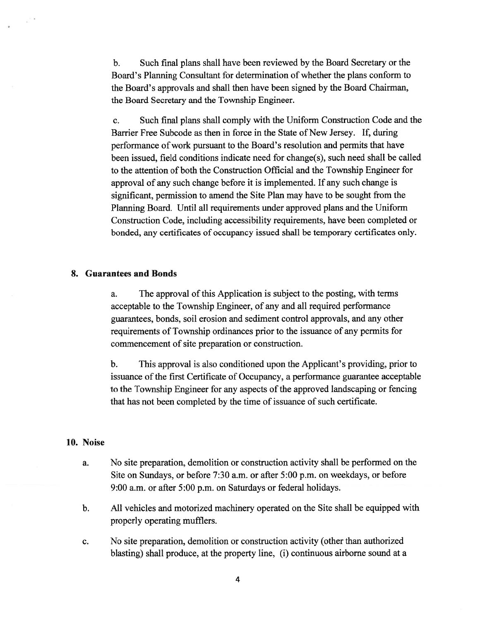b. Such final plans shall have been reviewed by the Board Secretary or the Board's Planning Consultant for determination of whether the plans conform to the Board's approvals and shall then have been signed by the Board Chairman, the Board Secretary and the Township Engineer.

c. Such final plans shall comply with the Uniform Construction Code and the Barrier Free Subcode as then in force in the State of New Jersey. If, during performance of work pursuan<sup>t</sup> to the Board's resolution and permits that have been issued, field conditions indicate need for change(s), such need shall be called to the attention of both the Construction Official and the Township Engineer for approval of any such change before it is implemented. If any such change is significant, permission to amend the Site Plan may have to be sought from the Planning Board. Until all requirements under approved plans and the Uniform Construction Code, including accessibility requirements, have been completed or bonded, any certificates of occupancy issued shall be temporary certificates only.

#### 8. Guarantees and Bonds

a. The approval of this Application is subject to the posting, with terms acceptable to the Township Engineer, of any and all required performance guarantees, bonds, soil erosion and sediment control approvals, and any other requirements of Township ordinances prior to the issuance of any permits for commencement of site preparation or construction.

b. This approval is also conditioned upon the Applicant's providing, prior to issuance of the first Certificate of Occupancy, <sup>a</sup> performance guarantee acceptable to the Township Engineer for any aspects of the approved landscaping or fencing that has not been completed by the time of issuance of such certificate.

#### 10. Noise

- a. No site preparation, demolition or construction activity shall be performed on the Site on Sundays, or before 7:30 a.m. or after 5:00 p.m. on weekdays, or before 9:00 a.m. or after 5:00 p.m. on Saturdays or federal holidays.
- b. All vehicles and motorized machinery operated on the Site shall be equipped with properly operating mufflers.
- c. No site preparation, demolition or construction activity (other than authorized blasting) shall produce, at the property line, (i) continuous airborne sound at <sup>a</sup>